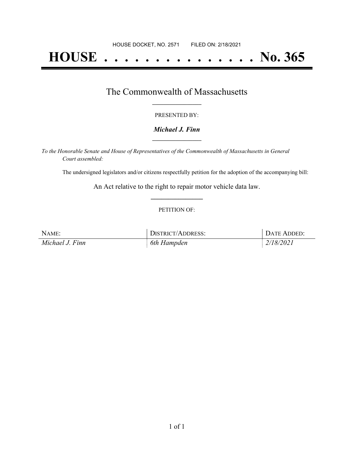# **HOUSE . . . . . . . . . . . . . . . No. 365**

### The Commonwealth of Massachusetts **\_\_\_\_\_\_\_\_\_\_\_\_\_\_\_\_\_**

#### PRESENTED BY:

#### *Michael J. Finn* **\_\_\_\_\_\_\_\_\_\_\_\_\_\_\_\_\_**

*To the Honorable Senate and House of Representatives of the Commonwealth of Massachusetts in General Court assembled:*

The undersigned legislators and/or citizens respectfully petition for the adoption of the accompanying bill:

An Act relative to the right to repair motor vehicle data law. **\_\_\_\_\_\_\_\_\_\_\_\_\_\_\_**

#### PETITION OF:

| NAME:           | DISTRICT/ADDRESS: | DATE ADDED: |
|-----------------|-------------------|-------------|
| Michael J. Finn | 6th Hampden       | 2/18/2021   |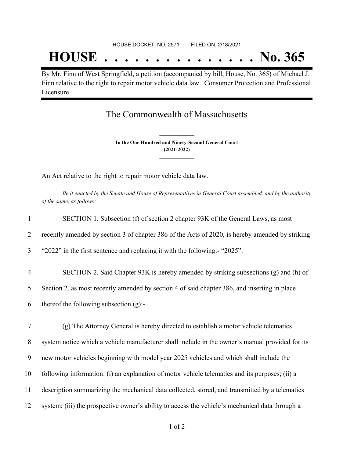## **HOUSE . . . . . . . . . . . . . . . No. 365**

By Mr. Finn of West Springfield, a petition (accompanied by bill, House, No. 365) of Michael J. Finn relative to the right to repair motor vehicle data law. Consumer Protection and Professional Licensure.

### The Commonwealth of Massachusetts

**In the One Hundred and Ninety-Second General Court (2021-2022) \_\_\_\_\_\_\_\_\_\_\_\_\_\_\_**

**\_\_\_\_\_\_\_\_\_\_\_\_\_\_\_**

An Act relative to the right to repair motor vehicle data law.

Be it enacted by the Senate and House of Representatives in General Court assembled, and by the authority *of the same, as follows:*

| $\mathbf{1}$   | SECTION 1. Subsection (f) of section 2 chapter 93K of the General Laws, as most                 |
|----------------|-------------------------------------------------------------------------------------------------|
| 2              | recently amended by section 3 of chapter 386 of the Acts of 2020, is hereby amended by striking |
| $\overline{3}$ | "2022" in the first sentence and replacing it with the following:- "2025".                      |
| $\overline{4}$ | SECTION 2. Said Chapter 93K is hereby amended by striking subsections (g) and (h) of            |
| 5              | Section 2, as most recently amended by section 4 of said chapter 386, and inserting in place    |
| 6              | thereof the following subsection $(g)$ :-                                                       |
|                |                                                                                                 |
| $\tau$         | (g) The Attorney General is hereby directed to establish a motor vehicle telematics             |
| 8              | system notice which a vehicle manufacturer shall include in the owner's manual provided for its |
| 9              | new motor vehicles beginning with model year 2025 vehicles and which shall include the          |
| 10             | following information: (i) an explanation of motor vehicle telematics and its purposes; (ii) a  |
| 11             | description summarizing the mechanical data collected, stored, and transmitted by a telematics  |